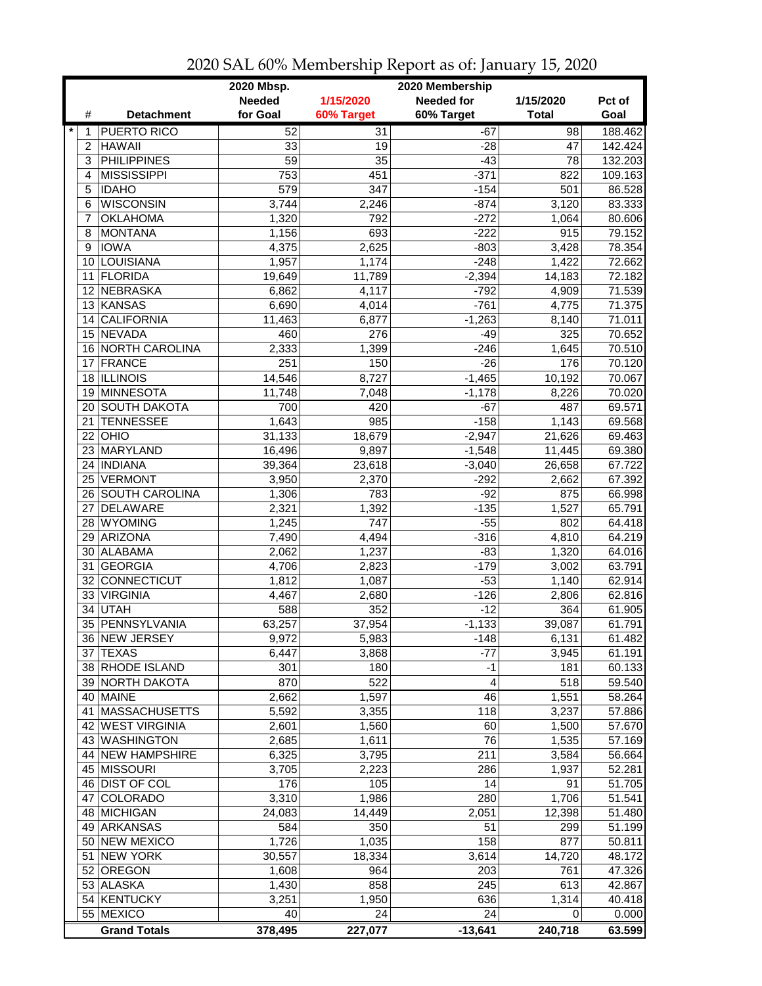|                 |                     | 2020 Mbsp.      |                 | 2020 Membership   |              |         |
|-----------------|---------------------|-----------------|-----------------|-------------------|--------------|---------|
|                 |                     | <b>Needed</b>   | 1/15/2020       | <b>Needed for</b> | 1/15/2020    | Pct of  |
| #               | <b>Detachment</b>   | for Goal        | 60% Target      | 60% Target        | <b>Total</b> | Goal    |
| $\star$<br>1    | <b>PUERTO RICO</b>  | 52              | $\overline{31}$ | $-67$             | 98           | 188.462 |
| 2               | <b>HAWAII</b>       | 33              | 19              | $-28$             | 47           | 142.424 |
| 3               | <b>PHILIPPINES</b>  | $\overline{59}$ | 35              | $-43$             | 78           | 132.203 |
| 4               | <b>MISSISSIPPI</b>  | 753             | 451             | $-371$            | 822          | 109.163 |
| 5               | <b>IDAHO</b>        | 579             | 347             | $-154$            | 501          | 86.528  |
| 6               | <b>WISCONSIN</b>    | 3,744           | 2,246           | $-874$            | 3,120        | 83.333  |
| 7               | <b>OKLAHOMA</b>     | 1,320           | 792             | $-272$            | 1,064        | 80.606  |
| 8               | <b>MONTANA</b>      | 1,156           | 693             | $-222$            | 915          | 79.152  |
| 9               | <b>IOWA</b>         | 4,375           | 2,625           | $-803$            | 3,428        | 78.354  |
| 10 <sup>1</sup> | LOUISIANA           | 1,957           | 1,174           | $-248$            | 1,422        | 72.662  |
| 11              | <b>FLORIDA</b>      | 19,649          | 11,789          | $-2,394$          | 14,183       | 72.182  |
| 12              | <b>NEBRASKA</b>     | 6,862           | 4,117           | $-792$            | 4,909        | 71.539  |
|                 | 13 KANSAS           | 6,690           | 4,014           | $-761$            | 4,775        | 71.375  |
| 14              | <b>CALIFORNIA</b>   | 11,463          | 6,877           | $-1,263$          | 8,140        | 71.011  |
|                 | 15 NEVADA           | 460             | 276             | $-49$             | 325          | 70.652  |
| 16              | NORTH CAROLINA      | 2,333           | 1,399           | $-246$            |              | 70.510  |
| 17              | <b>FRANCE</b>       | 251             | 150             | $-26$             | 1,645<br>176 | 70.120  |
| 18              | <b>ILLINOIS</b>     | 14,546          | 8,727           | $-1,465$          | 10,192       | 70.067  |
| 19              | MINNESOTA           | 11,748          | 7,048           | $-1,178$          | 8,226        | 70.020  |
|                 | <b>SOUTH DAKOTA</b> |                 | 420             |                   |              |         |
| 20              | <b>TENNESSEE</b>    | 700             |                 | $-67$             | 487<br>1,143 | 69.571  |
| 21              |                     | 1,643           | 985             | $-158$            |              | 69.568  |
| 22              | OHIO                | 31,133          | 18,679          | $-2,947$          | 21,626       | 69.463  |
|                 | 23 MARYLAND         | 16,496          | 9,897           | $-1,548$          | 11,445       | 69.380  |
|                 | 24   INDIANA        | 39,364          | 23,618          | $-3,040$          | 26,658       | 67.722  |
| 25              | <b>VERMONT</b>      | 3,950           | 2,370           | $-292$            | 2,662        | 67.392  |
|                 | 26 SOUTH CAROLINA   | 1,306           | 783             | $-92$             | 875          | 66.998  |
| 27              | DELAWARE            | 2,321           | 1,392           | $-135$            | 1,527        | 65.791  |
| 28 I            | WYOMING             | 1,245           | 747             | $-55$             | 802          | 64.418  |
| 29              | ARIZONA             | 7,490           | 4,494           | $-316$            | 4,810        | 64.219  |
| 30              | ALABAMA             | 2,062           | 1,237           | $-83$             | 1,320        | 64.016  |
| 31              | <b>GEORGIA</b>      | 4,706           | 2,823           | $-179$            | 3,002        | 63.791  |
| 32              | <b>CONNECTICUT</b>  | 1,812           | 1,087           | $-53$             | 1,140        | 62.914  |
| 33              | <b>VIRGINIA</b>     | 4,467           | 2,680           | $-126$            | 2,806        | 62.816  |
| 34              | <b>UTAH</b>         | 588             | 352             | $-12$             | 364          | 61.905  |
|                 | 35 PENNSYLVANIA     | 63,257          | 37,954          | $-1,133$          | 39,087       | 61.791  |
|                 | 36  NEW JERSEY      | 9,972           | 5,983           | -148              | 6,131        | 61.482  |
|                 | 37 TEXAS            | 6,447           | 3,868           | -77               | 3,945        | 61.191  |
|                 | 38 RHODE ISLAND     | 301             | 180             | $-1$              | 181          | 60.133  |
|                 | 39 NORTH DAKOTA     | 870             | 522             | 4                 | 518          | 59.540  |
|                 | 40 MAINE            | 2,662           | 1,597           | 46                | 1,551        | 58.264  |
|                 | 41 MASSACHUSETTS    | 5,592           | 3,355           | 118               | 3,237        | 57.886  |
|                 | 42 WEST VIRGINIA    | 2,601           | 1,560           | 60                | 1,500        | 57.670  |
|                 | 43 WASHINGTON       | 2,685           | 1,611           | 76                | 1,535        | 57.169  |
|                 | 44 NEW HAMPSHIRE    | 6,325           | 3,795           | 211               | 3,584        | 56.664  |
|                 | 45 MISSOURI         | 3,705           | 2,223           | 286               | 1,937        | 52.281  |
|                 | 46 DIST OF COL      | 176             | 105             | 14                | 91           | 51.705  |
| 47              | <b>COLORADO</b>     | 3,310           | 1,986           | 280               | 1,706        | 51.541  |
|                 | 48 MICHIGAN         | 24,083          | 14,449          | 2,051             | 12,398       | 51.480  |
|                 | 49 ARKANSAS         | 584             | 350             | 51                | 299          | 51.199  |
|                 | 50 NEW MEXICO       | 1,726           | 1,035           | 158               | 877          | 50.811  |
| 51              | <b>NEW YORK</b>     | 30,557          | 18,334          | 3,614             | 14,720       | 48.172  |
|                 | 52 OREGON           | 1,608           | 964             | 203               | 761          | 47.326  |
|                 | 53 ALASKA           | 1,430           | 858             | 245               | 613          | 42.867  |
|                 | 54 KENTUCKY         | 3,251           | 1,950           | 636               | 1,314        | 40.418  |
|                 | 55 MEXICO           | 40              | 24              | 24                | 0            | 0.000   |
|                 | <b>Grand Totals</b> | 378,495         | 227,077         | $-13,641$         | 240,718      | 63.599  |

2020 SAL 60% Membership Report as of: January 15, 2020